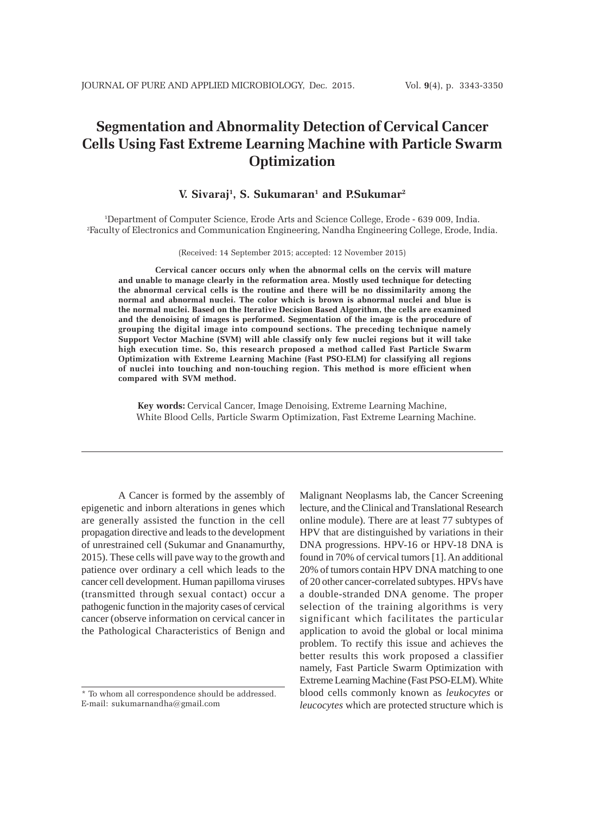# **Segmentation and Abnormality Detection of Cervical Cancer Cells Using Fast Extreme Learning Machine with Particle Swarm Optimization**

# **V. Sivaraj1 , S. Sukumaran1 and P.Sukumar2**

1 Department of Computer Science, Erode Arts and Science College, Erode - 639 009, India. 2 Faculty of Electronics and Communication Engineering, Nandha Engineering College, Erode, India.

(Received: 14 September 2015; accepted: 12 November 2015)

**Cervical cancer occurs only when the abnormal cells on the cervix will mature and unable to manage clearly in the reformation area. Mostly used technique for detecting the abnormal cervical cells is the routine and there will be no dissimilarity among the normal and abnormal nuclei. The color which is brown is abnormal nuclei and blue is the normal nuclei. Based on the Iterative Decision Based Algorithm, the cells are examined and the denoising of images is performed. Segmentation of the image is the procedure of grouping the digital image into compound sections. The preceding technique namely Support Vector Machine (SVM) will able classify only few nuclei regions but it will take high execution time. So, this research proposed a method called Fast Particle Swarm Optimization with Extreme Learning Machine (Fast PSO-ELM) for classifying all regions of nuclei into touching and non-touching region. This method is more efficient when compared with SVM method.**

**Key words:** Cervical Cancer, Image Denoising, Extreme Learning Machine, White Blood Cells, Particle Swarm Optimization, Fast Extreme Learning Machine.

A Cancer is formed by the assembly of epigenetic and inborn alterations in genes which are generally assisted the function in the cell propagation directive and leads to the development of unrestrained cell (Sukumar and Gnanamurthy, 2015). These cells will pave way to the growth and patience over ordinary a cell which leads to the cancer cell development. Human papilloma viruses (transmitted through sexual contact) occur a pathogenic function in the majority cases of cervical cancer (observe information on cervical cancer in the Pathological Characteristics of Benign and

Malignant Neoplasms lab, the Cancer Screening lecture, and the Clinical and Translational Research online module). There are at least 77 subtypes of HPV that are distinguished by variations in their DNA progressions. HPV-16 or HPV-18 DNA is found in 70% of cervical tumors [1]. An additional 20% of tumors contain HPV DNA matching to one of 20 other cancer-correlated subtypes. HPVs have a double-stranded DNA genome. The proper selection of the training algorithms is very significant which facilitates the particular application to avoid the global or local minima problem. To rectify this issue and achieves the better results this work proposed a classifier namely, Fast Particle Swarm Optimization with Extreme Learning Machine (Fast PSO-ELM). White blood cells commonly known as *leukocytes* or *leucocytes* which are protected structure which is

<sup>\*</sup> To whom all correspondence should be addressed. E-mail: sukumarnandha@gmail.com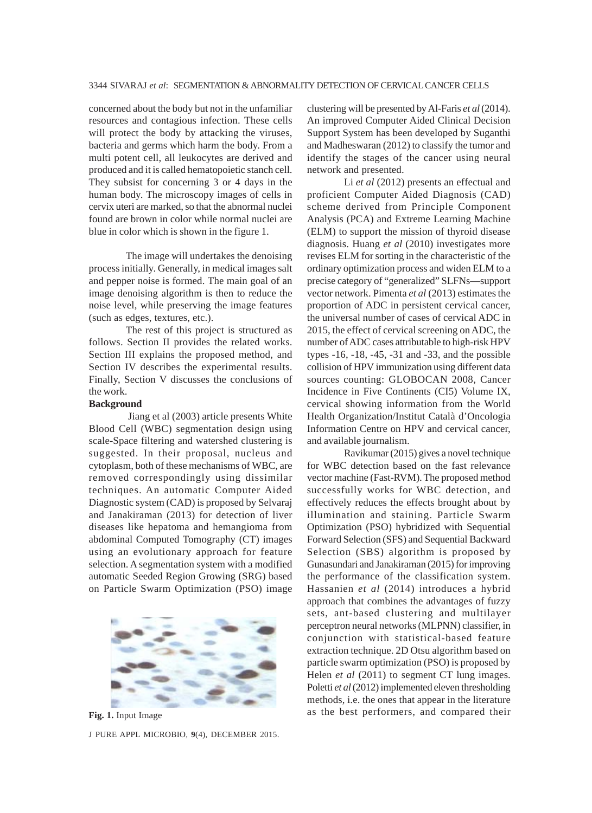concerned about the body but not in the unfamiliar resources and contagious infection. These cells will protect the body by attacking the viruses, bacteria and germs which harm the body. From a multi potent cell, all leukocytes are derived and produced and it is called hematopoietic stanch cell. They subsist for concerning 3 or 4 days in the human body. The microscopy images of cells in cervix uteri are marked, so that the abnormal nuclei found are brown in color while normal nuclei are blue in color which is shown in the figure 1.

The image will undertakes the denoising process initially. Generally, in medical images salt and pepper noise is formed. The main goal of an image denoising algorithm is then to reduce the noise level, while preserving the image features (such as edges, textures, etc.).

The rest of this project is structured as follows. Section II provides the related works. Section III explains the proposed method, and Section IV describes the experimental results. Finally, Section V discusses the conclusions of the work.

## **Background**

 Jiang et al (2003) article presents White Blood Cell (WBC) segmentation design using scale-Space filtering and watershed clustering is suggested. In their proposal, nucleus and cytoplasm, both of these mechanisms of WBC, are removed correspondingly using dissimilar techniques. An automatic Computer Aided Diagnostic system (CAD) is proposed by Selvaraj and Janakiraman (2013) for detection of liver diseases like hepatoma and hemangioma from abdominal Computed Tomography (CT) images using an evolutionary approach for feature selection. A segmentation system with a modified automatic Seeded Region Growing (SRG) based on Particle Swarm Optimization (PSO) image



J PURE APPL MICROBIO*,* **9**(4), DECEMBER 2015.

clustering will be presented by Al-Faris *et al* (2014). An improved Computer Aided Clinical Decision Support System has been developed by Suganthi and Madheswaran (2012) to classify the tumor and identify the stages of the cancer using neural network and presented.

Li *et al* (2012) presents an effectual and proficient Computer Aided Diagnosis (CAD) scheme derived from Principle Component Analysis (PCA) and Extreme Learning Machine (ELM) to support the mission of thyroid disease diagnosis. Huang *et al* (2010) investigates more revises ELM for sorting in the characteristic of the ordinary optimization process and widen ELM to a precise category of "generalized" SLFNs—support vector network. Pimenta *et al* (2013) estimates the proportion of ADC in persistent cervical cancer, the universal number of cases of cervical ADC in 2015, the effect of cervical screening on ADC, the number of ADC cases attributable to high-risk HPV types -16, -18, -45, -31 and -33, and the possible collision of HPV immunization using different data sources counting: GLOBOCAN 2008, Cancer Incidence in Five Continents (CI5) Volume IX, cervical showing information from the World Health Organization/Institut Català d'Oncologia Information Centre on HPV and cervical cancer, and available journalism.

Ravikumar (2015) gives a novel technique for WBC detection based on the fast relevance vector machine (Fast-RVM). The proposed method successfully works for WBC detection, and effectively reduces the effects brought about by illumination and staining. Particle Swarm Optimization (PSO) hybridized with Sequential Forward Selection (SFS) and Sequential Backward Selection (SBS) algorithm is proposed by Gunasundari and Janakiraman (2015) for improving the performance of the classification system. Hassanien *et al* (2014) introduces a hybrid approach that combines the advantages of fuzzy sets, ant-based clustering and multilayer perceptron neural networks (MLPNN) classifier, in conjunction with statistical-based feature extraction technique. 2D Otsu algorithm based on particle swarm optimization (PSO) is proposed by Helen *et al* (2011) to segment CT lung images. Poletti *et al* (2012) implemented eleven thresholding methods, i.e. the ones that appear in the literature Fig. 1. Input Image as the best performers, and compared their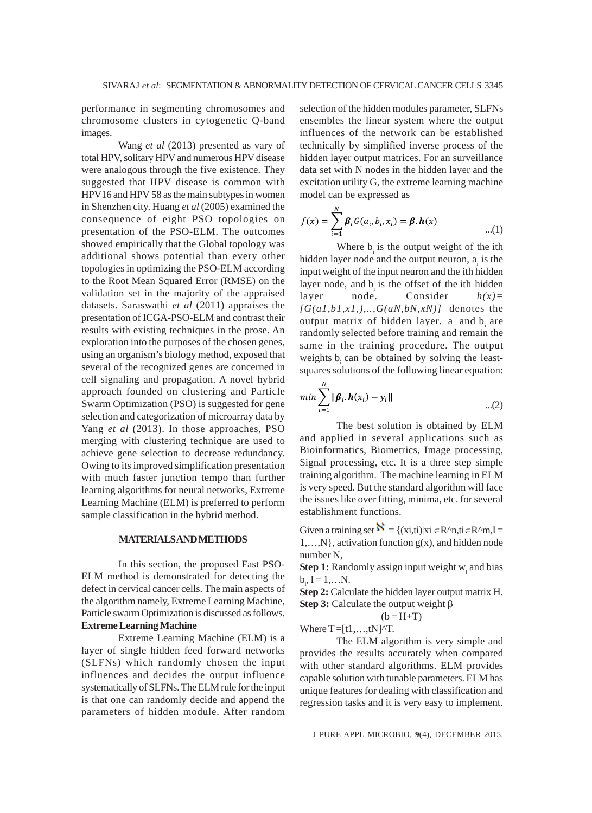performance in segmenting chromosomes and chromosome clusters in cytogenetic Q-band images.

Wang *et al* (2013) presented as vary of total HPV, solitary HPV and numerous HPV disease were analogous through the five existence. They suggested that HPV disease is common with HPV16 and HPV 58 as the main subtypes in women in Shenzhen city. Huang *et al* (2005) examined the consequence of eight PSO topologies on presentation of the PSO-ELM. The outcomes showed empirically that the Global topology was additional shows potential than every other topologies in optimizing the PSO-ELM according to the Root Mean Squared Error (RMSE) on the validation set in the majority of the appraised datasets. Saraswathi *et al* (2011) appraises the presentation of ICGA-PSO-ELM and contrast their results with existing techniques in the prose. An exploration into the purposes of the chosen genes, using an organism's biology method, exposed that several of the recognized genes are concerned in cell signaling and propagation. A novel hybrid approach founded on clustering and Particle Swarm Optimization (PSO) is suggested for gene selection and categorization of microarray data by Yang *et al* (2013). In those approaches, PSO merging with clustering technique are used to achieve gene selection to decrease redundancy. Owing to its improved simplification presentation with much faster junction tempo than further learning algorithms for neural networks, Extreme Learning Machine (ELM) is preferred to perform sample classification in the hybrid method.

#### **MATERIALS AND METHODS**

In this section, the proposed Fast PSO-ELM method is demonstrated for detecting the defect in cervical cancer cells. The main aspects of the algorithm namely, Extreme Learning Machine, Particle swarm Optimization is discussed as follows. **Extreme Learning Machine**

Extreme Learning Machine (ELM) is a layer of single hidden feed forward networks (SLFNs) which randomly chosen the input influences and decides the output influence systematically of SLFNs. The ELM rule for the input is that one can randomly decide and append the parameters of hidden module. After random

selection of the hidden modules parameter, SLFNs ensembles the linear system where the output influences of the network can be established technically by simplified inverse process of the hidden layer output matrices. For an surveillance data set with N nodes in the hidden layer and the excitation utility G, the extreme learning machine model can be expressed as

$$
f(x) = \sum_{i=1}^{N} \beta_i G(a_i, b_i, x_i) = \beta \cdot h(x) \quad ...(1)
$$

Where  $b_i$  is the output weight of the ith hidden layer node and the output neuron,  $a_i$  is the input weight of the input neuron and the ith hidden layer node, and  $b<sub>i</sub>$  is the offset of the ith hidden layer node. Consider *h(x)=*  $[G(a1,b1,x1),...,G(aN,bN,xN)]$  denotes the output matrix of hidden layer. a<sub>i</sub> and b<sub>i</sub> are randomly selected before training and remain the same in the training procedure. The output weights  $b<sub>i</sub>$  can be obtained by solving the leastsquares solutions of the following linear equation:

$$
min \sum_{i=1}^{N} ||\boldsymbol{\beta}_i \cdot \boldsymbol{h}(x_i) - y_i||
$$
...(2)

The best solution is obtained by ELM and applied in several applications such as Bioinformatics, Biometrics, Image processing, Signal processing, etc. It is a three step simple training algorithm. The machine learning in ELM is very speed. But the standard algorithm will face the issues like over fitting, minima, etc. for several establishment functions.

Given a training set  $\aleph = \{(xi, it) | xi \in R^n, ti \in R^n, I =$ 1,…,N}, activation function g(x), and hidden node number N,

 $\textbf{Step 1:}$  Randomly assign input weight  $\text{w}_\text{i}$  and bias  $b_i, I = 1,...N.$ 

**Step 2:** Calculate the hidden layer output matrix H. **Step 3:** Calculate the output weight β

$$
(b=H+T)
$$

Where  $T = [t1, \ldots, tN]^T$ .

The ELM algorithm is very simple and provides the results accurately when compared with other standard algorithms. ELM provides capable solution with tunable parameters. ELM has unique features for dealing with classification and regression tasks and it is very easy to implement.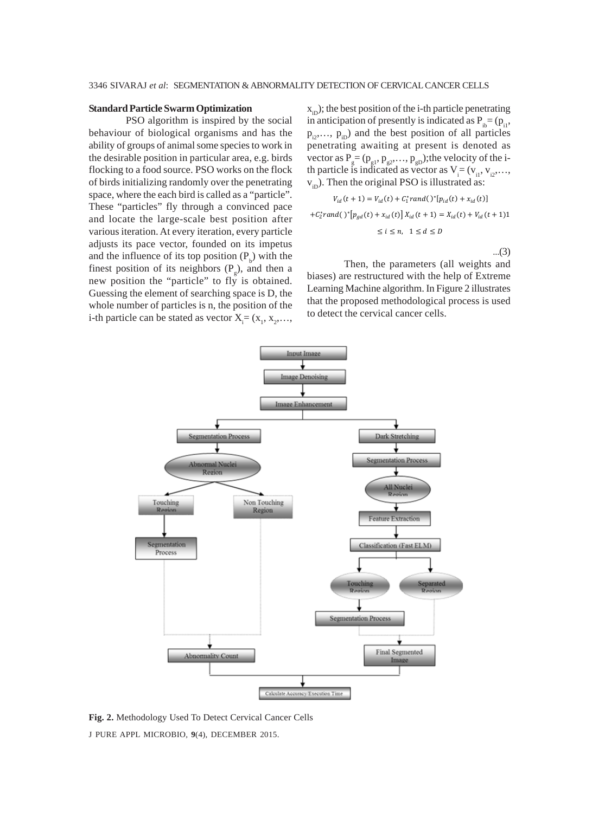## **Standard Particle Swarm Optimization**

PSO algorithm is inspired by the social behaviour of biological organisms and has the ability of groups of animal some species to work in the desirable position in particular area, e.g. birds flocking to a food source. PSO works on the flock of birds initializing randomly over the penetrating space, where the each bird is called as a "particle". These "particles" fly through a convinced pace and locate the large-scale best position after various iteration. At every iteration, every particle adjusts its pace vector, founded on its impetus and the influence of its top position  $(P_b)$  with the finest position of its neighbors  $(P_g)$ , and then a new position the "particle" to fly is obtained. Guessing the element of searching space is D, the whole number of particles is n, the position of the i-th particle can be stated as vector  $X_i = (x_1, x_2, \ldots, x_n)$ 

 $x_{in}$ ); the best position of the i-th particle penetrating in anticipation of presently is indicated as  $P_{i} = (p_{i1},$  $p_{i2},..., p_{iD}$ ) and the best position of all particles penetrating awaiting at present is denoted as vector as  $P_g = (p_{g1}, p_{g2}, \dots, p_{gD})$ ; the velocity of the ith particle is indicated as vector as  $V_i = (v_{i1}, v_{i2}, \ldots, v_{iM})$  $v<sub>ip</sub>$ ). Then the original PSO is illustrated as:

$$
V_{id}(t+1) = V_{id}(t) + C_1^* rand(\ )^* [p_{id}(t) + x_{id}(t)]
$$
  
+C\_2^\* rand(\ )^\* [p\_{gd}(t) + x\_{id}(t)] X\_{id}(t+1) = X\_{id}(t) + V\_{id}(t+1)1  

$$
\leq i \leq n, \quad 1 \leq d \leq D
$$

...(3)

Then, the parameters (all weights and biases) are restructured with the help of Extreme Learning Machine algorithm. In Figure 2 illustrates that the proposed methodological process is used to detect the cervical cancer cells.



J PURE APPL MICROBIO*,* **9**(4), DECEMBER 2015. **Fig. 2.** Methodology Used To Detect Cervical Cancer Cells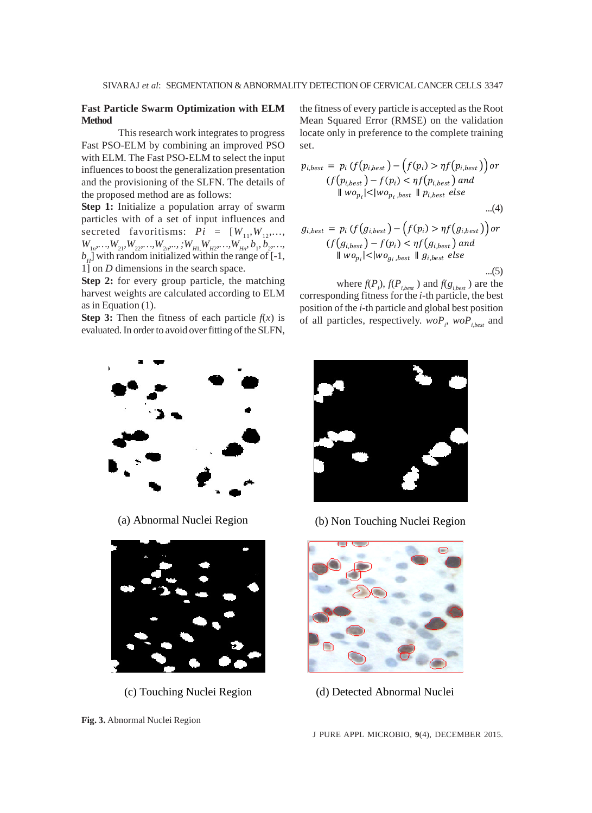# **Fast Particle Swarm Optimization with ELM Method**

This research work integrates to progress Fast PSO-ELM by combining an improved PSO with ELM. The Fast PSO-ELM to select the input influences to boost the generalization presentation and the provisioning of the SLFN. The details of the proposed method are as follows:

**Step 1:** Initialize a population array of swarm particles with of a set of input influences and secreted favoritisms:  $Pi = [W_{11}, W_{12}, \dots,$  $W_{1n}, \ldots, W_{21}, W_{22}, \ldots, W_{2n}, \ldots, W_{H1}, W_{H2}, \ldots, W_{Hn}, b_1, b_2, \ldots, b_m$  $b_H$ ] with random initialized within the range of  $[-1, 1]$ 1] on *D* dimensions in the search space.

**Step 2:** for every group particle, the matching harvest weights are calculated according to ELM as in Equation (1).

**Step 3:** Then the fitness of each particle  $f(x)$  is evaluated. In order to avoid over fitting of the SLFN, the fitness of every particle is accepted as the Root Mean Squared Error (RMSE) on the validation locate only in preference to the complete training set.

$$
p_{i,best} = p_i \left( f(p_{i,best}) - \left( f(p_i) > \eta f(p_{i,best}) \right) \right)
$$
  

$$
\left( f(p_{i,best}) - f(p_i) < \eta f(p_{i,best}) \text{ and }
$$
  

$$
\| w o_{p_i} | < \| w o_{p_i, best} \| p_{i,best} \text{ else }
$$
  
...(4)

$$
g_{i,best} = p_i \left( f(g_{i,best}) - \left( f(p_i) > \eta f(g_{i,best}) \right) \right)
$$

$$
\left( f(g_{i,best}) - f(p_i) < \eta f(g_{i,best}) \right)
$$

$$
\| w o_{p_i} | < | w o_{g_i,best} \| g_{i,best} \text{ else}
$$

...(5)

where  $f(P_i)$ ,  $f(P_{i,best})$  and  $f(g_{i,best})$  are the corresponding fitness for the *i*-th particle, the best position of the *i*-th particle and global best position of all particles, respectively.  $woP_i$ ,  $woP_{i,best}$  and







(a) Abnormal Nuclei Region (b) Non Touching Nuclei Region



(c) Touching Nuclei Region (d) Detected Abnormal Nuclei

J PURE APPL MICROBIO*,* **9**(4), DECEMBER 2015.

**Fig. 3.** Abnormal Nuclei Region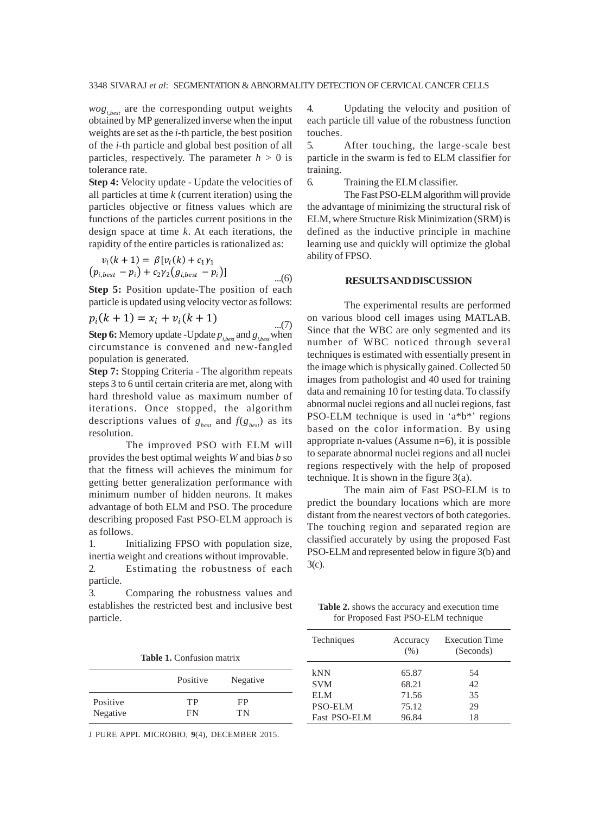$wog<sub>i.best</sub>$  are the corresponding output weights obtained by MP generalized inverse when the input weights are set as the *i*-th particle, the best position of the *i*-th particle and global best position of all particles, respectively. The parameter  $h > 0$  is tolerance rate.

**Step 4:** Velocity update - Update the velocities of all particles at time *k* (current iteration) using the particles objective or fitness values which are functions of the particles current positions in the design space at time *k*. At each iterations, the rapidity of the entire particles is rationalized as:

$$
v_i(k + 1) = \beta [v_i(k) + c_1 \gamma_1 (p_{i,best} - p_i) + c_2 \gamma_2 (g_{i,best} - p_i)]
$$
...(6)

**Step 5:** Position update-The position of each particle is updated using velocity vector as follows:

$$
p_i(k + 1) = x_i + v_i(k + 1)
$$
...(7)

**Step 6:** Memory update -Update *pi,best* and *gi,best* when circumstance is convened and new-fangled population is generated.

**Step 7:** Stopping Criteria - The algorithm repeats steps 3 to 6 until certain criteria are met, along with hard threshold value as maximum number of iterations. Once stopped, the algorithm descriptions values of  $g_{\text{best}}$  and  $f(g_{\text{best}})$  as its resolution.

The improved PSO with ELM will provides the best optimal weights *W* and bias *b* so that the fitness will achieves the minimum for getting better generalization performance with minimum number of hidden neurons. It makes advantage of both ELM and PSO. The procedure describing proposed Fast PSO-ELM approach is as follows.

1. Initializing FPSO with population size, inertia weight and creations without improvable. 2. Estimating the robustness of each

particle.

3. Comparing the robustness values and establishes the restricted best and inclusive best particle.

4. Updating the velocity and position of each particle till value of the robustness function touches.

5. After touching, the large-scale best particle in the swarm is fed to ELM classifier for training.

6. Training the ELM classifier.

The Fast PSO-ELM algorithm will provide the advantage of minimizing the structural risk of ELM, where Structure Risk Minimization (SRM) is defined as the inductive principle in machine learning use and quickly will optimize the global ability of FPSO.

#### **RESULTS AND DISCUSSION**

The experimental results are performed on various blood cell images using MATLAB. Since that the WBC are only segmented and its number of WBC noticed through several techniques is estimated with essentially present in the image which is physically gained. Collected 50 images from pathologist and 40 used for training data and remaining 10 for testing data. To classify abnormal nuclei regions and all nuclei regions, fast PSO-ELM technique is used in 'a\*b\*' regions based on the color information. By using appropriate n-values (Assume n=6), it is possible to separate abnormal nuclei regions and all nuclei regions respectively with the help of proposed technique. It is shown in the figure 3(a).

The main aim of Fast PSO-ELM is to predict the boundary locations which are more distant from the nearest vectors of both categories. The touching region and separated region are classified accurately by using the proposed Fast PSO-ELM and represented below in figure 3(b) and 3(c).

**Table 2.** shows the accuracy and execution time for Proposed Fast PSO-ELM technique

|                      | <b>Table 1.</b> Confusion matrix |          | Techniques                                   | Accuracy<br>$(\%)$      | <b>Execution Time</b><br>(Seconds) |
|----------------------|----------------------------------|----------|----------------------------------------------|-------------------------|------------------------------------|
|                      | Positive                         | Negative | kNN<br><b>SVM</b>                            | 65.87<br>68.21          | 54<br>42                           |
| Positive<br>Negative | TР<br>FN                         | FP<br>TN | <b>ELM</b><br><b>PSO-ELM</b><br>Fast PSO-ELM | 71.56<br>75.12<br>96.84 | 35<br>29<br>18                     |

J PURE APPL MICROBIO*,* **9**(4), DECEMBER 2015.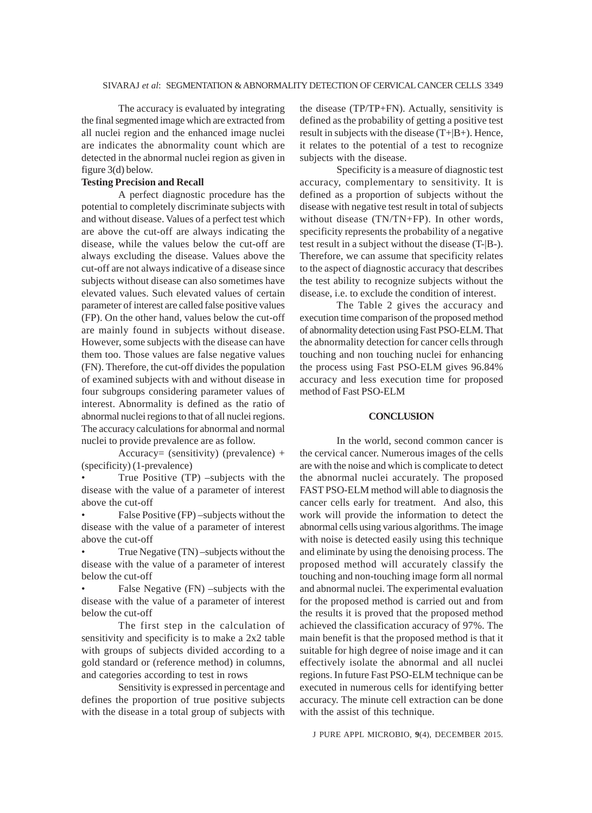The accuracy is evaluated by integrating the final segmented image which are extracted from all nuclei region and the enhanced image nuclei are indicates the abnormality count which are detected in the abnormal nuclei region as given in figure 3(d) below.

# **Testing Precision and Recall**

A perfect diagnostic procedure has the potential to completely discriminate subjects with and without disease. Values of a perfect test which are above the cut-off are always indicating the disease, while the values below the cut-off are always excluding the disease. Values above the cut-off are not always indicative of a disease since subjects without disease can also sometimes have elevated values. Such elevated values of certain parameter of interest are called false positive values (FP). On the other hand, values below the cut-off are mainly found in subjects without disease. However, some subjects with the disease can have them too. Those values are false negative values (FN). Therefore, the cut-off divides the population of examined subjects with and without disease in four subgroups considering parameter values of interest. Abnormality is defined as the ratio of abnormal nuclei regions to that of all nuclei regions. The accuracy calculations for abnormal and normal nuclei to provide prevalence are as follow.

Accuracy= (sensitivity) (prevalence) + (specificity) (1-prevalence)

• True Positive (TP) –subjects with the disease with the value of a parameter of interest above the cut-off

• False Positive (FP) –subjects without the disease with the value of a parameter of interest above the cut-off

• True Negative (TN) –subjects without the disease with the value of a parameter of interest below the cut-off

False Negative (FN) –subjects with the disease with the value of a parameter of interest below the cut-off

The first step in the calculation of sensitivity and specificity is to make a 2x2 table with groups of subjects divided according to a gold standard or (reference method) in columns, and categories according to test in rows

Sensitivity is expressed in percentage and defines the proportion of true positive subjects with the disease in a total group of subjects with the disease (TP/TP+FN). Actually, sensitivity is defined as the probability of getting a positive test result in subjects with the disease (T+|B+). Hence, it relates to the potential of a test to recognize subjects with the disease.

Specificity is a measure of diagnostic test accuracy, complementary to sensitivity. It is defined as a proportion of subjects without the disease with negative test result in total of subjects without disease (TN/TN+FP). In other words, specificity represents the probability of a negative test result in a subject without the disease (T-|B-). Therefore, we can assume that specificity relates to the aspect of diagnostic accuracy that describes the test ability to recognize subjects without the disease, i.e. to exclude the condition of interest.

The Table 2 gives the accuracy and execution time comparison of the proposed method of abnormality detection using Fast PSO-ELM. That the abnormality detection for cancer cells through touching and non touching nuclei for enhancing the process using Fast PSO-ELM gives 96.84% accuracy and less execution time for proposed method of Fast PSO-ELM

#### **CONCLUSION**

In the world, second common cancer is the cervical cancer. Numerous images of the cells are with the noise and which is complicate to detect the abnormal nuclei accurately. The proposed FAST PSO-ELM method will able to diagnosis the cancer cells early for treatment. And also, this work will provide the information to detect the abnormal cells using various algorithms. The image with noise is detected easily using this technique and eliminate by using the denoising process. The proposed method will accurately classify the touching and non-touching image form all normal and abnormal nuclei. The experimental evaluation for the proposed method is carried out and from the results it is proved that the proposed method achieved the classification accuracy of 97%. The main benefit is that the proposed method is that it suitable for high degree of noise image and it can effectively isolate the abnormal and all nuclei regions. In future Fast PSO-ELM technique can be executed in numerous cells for identifying better accuracy. The minute cell extraction can be done with the assist of this technique.

J PURE APPL MICROBIO*,* **9**(4), DECEMBER 2015.